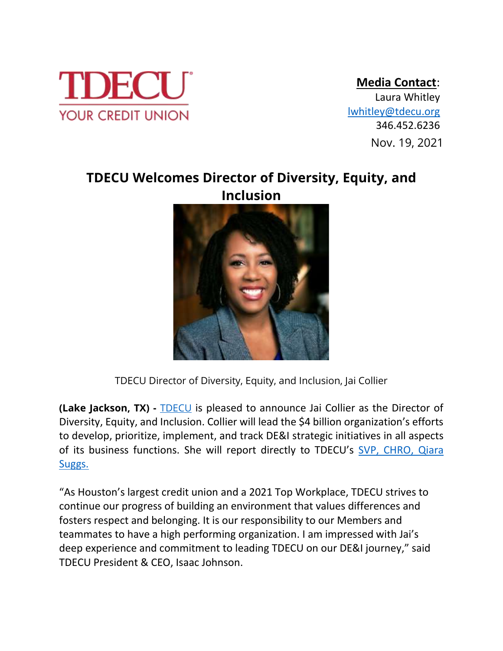

## **Media Contact**:

 Nov. 2, 2021 346.452.6236Nov. 19, 2021 Laura Whitley [lwhitley@tdecu.org](mailto:lwhitley@tdecu.org)

## **TDECU Welcomes Director of Diversity, Equity, and Inclusion**



TDECU Director of Diversity, Equity, and Inclusion, Jai Collier

**(Lake Jackson, TX) -** [TDECU](https://www.tdecu.org/) is pleased to announce Jai Collier as the Director of Diversity, Equity, and Inclusion. Collier will lead the \$4 billion organization's efforts to develop, prioritize, implement, and track DE&I strategic initiatives in all aspects of its business functions. She will report directly to TDECU's [SVP, CHRO,](https://www.tdecu.org/images/press-room/press-releases/2021/HR-Leader-Qiara-Suggs-Joins-TDECU-as-Senior-Vice-President-Chief-Human-Resources-Officer.pdf) Qiara [Suggs.](https://www.tdecu.org/images/press-room/press-releases/2021/HR-Leader-Qiara-Suggs-Joins-TDECU-as-Senior-Vice-President-Chief-Human-Resources-Officer.pdf)

"As Houston's largest credit union and a 2021 Top Workplace, TDECU strives to continue our progress of building an environment that values differences and fosters respect and belonging. It is our responsibility to our Members and teammates to have a high performing organization. I am impressed with Jai's deep experience and commitment to leading TDECU on our DE&I journey," said TDECU President & CEO, Isaac Johnson.